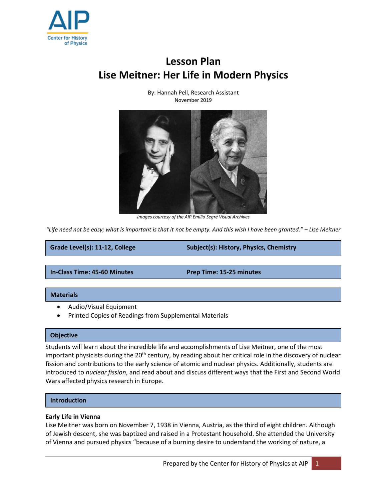

# **Lesson Plan Lise Meitner: Her Life in Modern Physics**



By: Hannah Pell, Research Assistant November 2019

*Images courtesy of the AIP Emilio Segré Visual Archives*

*"Life need not be easy; what is important is that it not be empty. And this wish I have been granted." – Lise Meitner*

**Grade Level(s): 11-12, College Subject(s): History, Physics, Chemistry**

**In-Class Time: 45-60 Minutes Prep Time: 15-25 minutes**

## **Materials**

- Audio/Visual Equipment
- Printed Copies of Readings from Supplemental Materials

## **Objective**

Students will learn about the incredible life and accomplishments of Lise Meitner, one of the most important physicists during the  $20<sup>th</sup>$  century, by reading about her critical role in the discovery of nuclear fission and contributions to the early science of atomic and nuclear physics. Additionally, students are introduced to *nuclear fission*, and read about and discuss different ways that the First and Second World Wars affected physics research in Europe.

## **Introduction**

## **Early Life in Vienna**

Lise Meitner was born on November 7, 1938 in Vienna, Austria, as the third of eight children. Although of Jewish descent, she was baptized and raised in a Protestant household. She attended the University of Vienna and pursued physics "because of a burning desire to understand the working of nature, a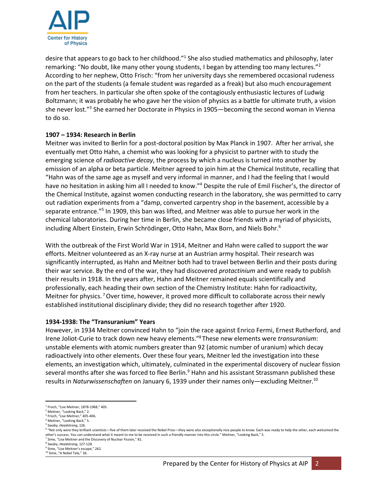

desire that appears to go back to her childhood."<sup>1</sup> She also studied mathematics and philosophy, later remarking: "No doubt, like many other young students, I began by attending too many lectures."<sup>2</sup> According to her nephew, Otto Frisch: "from her university days she remembered occasional rudeness on the part of the students (a female student was regarded as a freak) but also much encouragement from her teachers. In particular she often spoke of the contagiously enthusiastic lectures of Ludwig Boltzmann; it was probably he who gave her the vision of physics as a battle for ultimate truth, a vision she never lost."<sup>3</sup> She earned her Doctorate in Physics in 1905—becoming the second woman in Vienna to do so.

# **1907 – 1934: Research in Berlin**

Meitner was invited to Berlin for a post-doctoral position by Max Planck in 1907. After her arrival, she eventually met Otto Hahn, a chemist who was looking for a physicist to partner with to study the emerging science of *radioactive decay*, the process by which a nucleus is turned into another by emission of an alpha or beta particle. Meitner agreed to join him at the Chemical Institute, recalling that "Hahn was of the same age as myself and very informal in manner, and I had the feeling that I would have no hesitation in asking him all I needed to know."<sup>4</sup> Despite the rule of Emil Fischer's, the director of the Chemical Institute, against women conducting research in the laboratory, she was permitted to carry out radiation experiments from a "damp, converted carpentry shop in the basement, accessible by a separate entrance."<sup>5</sup> In 1909, this ban was lifted, and Meitner was able to pursue her work in the chemical laboratories. During her time in Berlin, she became close friends with a myriad of physicists, including Albert Einstein, Erwin Schrödinger, Otto Hahn, Max Born, and Niels Bohr.<sup>6</sup>

With the outbreak of the First World War in 1914, Meitner and Hahn were called to support the war efforts. Meitner volunteered as an X-ray nurse at an Austrian army hospital. Their research was significantly interrupted, as Hahn and Meitner both had to travel between Berlin and their posts during their war service. By the end of the war, they had discovered *protactinium* and were ready to publish their results in 1918. In the years after, Hahn and Meitner remained equals scientifically and professionally, each heading their own section of the Chemistry Institute: Hahn for radioactivity, Meitner for physics.<sup>7</sup> Over time, however, it proved more difficult to collaborate across their newly established institutional disciplinary divide; they did no research together after 1920.

# **1934-1938: The "Transuranium" Years**

However, in 1934 Meitner convinced Hahn to "join the race against Enrico Fermi, Ernest Rutherford, and Irene Joliot-Curie to track down new heavy elements." <sup>8</sup> These new elements were *transuranium*: unstable elements with atomic numbers greater than 92 (atomic number of uranium) which decay radioactively into other elements. Over these four years, Meitner led the investigation into these elements, an investigation which, ultimately, culminated in the experimental discovery of nuclear fission several months after she was forced to flee Berlin.<sup>9</sup> Hahn and his assistant Strassmann published these results in *Naturwissenschaften* on January 6, 1939 under their names only—excluding Meitner.<sup>10</sup>

 $\overline{\phantom{a}}$ 1 Frisch, "Lise Meitner, 1878-1968," 405.

<sup>2</sup> Meitner, "Looking Back," 2.

<sup>3</sup> Frisch, "Lise Meitner," 405-406. <sup>4</sup> Meitner, "Looking Back," 5.

<sup>5</sup> Swaby, *Headstrong*, 126.

<sup>&</sup>lt;sup>6</sup> "Not only were they brilliant scientists—five of them later received the Nobel Prize—they were also exceptionally nice people to know. Each was ready to help the other, each welcomed the other's success. You can understand what it meant to me to be received in such a friendly manner into this circle." Meitner, "Looking Back," 5.

<sup>7</sup> Sime, "Lise Meitner and the Discovery of Nuclear Fission," 81.

<sup>8</sup> Swaby, *Headstrong*, 127-128. <sup>9</sup> Sime, "Lise Meitner's escape," 262.

<sup>&</sup>lt;sup>10</sup> Sime, "A Nobel Tale," 26.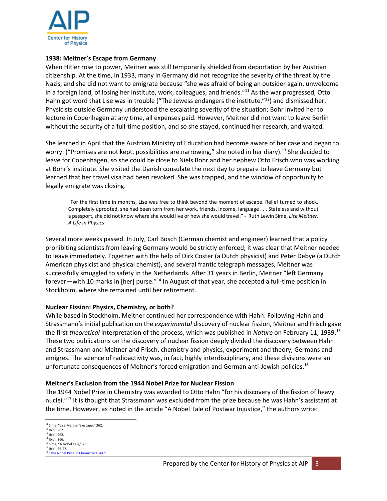

## **1938: Meitner's Escape from Germany**

When Hitler rose to power, Meitner was still temporarily shielded from deportation by her Austrian citizenship. At the time, in 1933, many in Germany did not recognize the severity of the threat by the Nazis, and she did not want to emigrate because "she was afraid of being an outsider again, unwelcome in a foreign land, of losing her institute, work, colleagues, and friends."<sup>11</sup> As the war progressed, Otto Hahn got word that Lise was in trouble ("The Jewess endangers the institute."<sup>12</sup>) and dismissed her. Physicists outside Germany understood the escalating severity of the situation; Bohr invited her to lecture in Copenhagen at any time, all expenses paid. However, Meitner did not want to leave Berlin without the security of a full-time position, and so she stayed, continued her research, and waited.

She learned in April that the Austrian Ministry of Education had become aware of her case and began to worry. ("Promises are not kept, possibilities are narrowing," she noted in her diary).<sup>13</sup> She decided to leave for Copenhagen, so she could be close to Niels Bohr and her nephew Otto Frisch who was working at Bohr's institute. She visited the Danish consulate the next day to prepare to leave Germany but learned that her travel visa had been revoked. She was trapped, and the window of opportunity to legally emigrate was closing.

"For the first time in months, Lise was free to think beyond the moment of escape. Relief turned to shock. Completely uprooted, she had been torn from her work, friends, income, language . . . Stateless and without a passport, she did not know where she would live or how she would travel." - Ruth Lewin Sime, *Lise Meitner: A Life in Physics*

Several more weeks passed. In July, Carl Bosch (German chemist and engineer) learned that a policy prohibiting scientists from leaving Germany would be strictly enforced; it was clear that Meitner needed to leave immediately. Together with the help of Dirk Coster (a Dutch physicist) and Peter Debye (a Dutch American physicist and physical chemist), and several frantic telegraph messages, Meitner was successfully smuggled to safety in the Netherlands. After 31 years in Berlin, Meitner "left Germany forever—with 10 marks in [her] purse."<sup>14</sup> In August of that year, she accepted a full-time position in Stockholm, where she remained until her retirement.

# **Nuclear Fission: Physics, Chemistry, or both?**

While based in Stockholm, Meitner continued her correspondence with Hahn. Following Hahn and Strassmann's initial publication on the *experimental* discovery of nuclear fission, Meitner and Frisch gave the first *theoretical* interpretation of the process, which was published in *Nature* on February 11, 1939.<sup>15</sup> These two publications on the discovery of nuclear fission deeply divided the discovery between Hahn and Strassmann and Meitner and Frisch, chemistry and physics, experiment and theory, Germans and emigres. The science of radioactivity was, in fact, highly interdisciplinary, and these divisions were an unfortunate consequences of Meitner's forced emigration and German anti-Jewish policies.<sup>16</sup>

## **Meitner's Exclusion from the 1944 Nobel Prize for Nuclear Fission**

The 1944 Nobel Prize in Chemistry was awarded to Otto Hahn "for his discovery of the fission of heavy nuclei."<sup>17</sup> It is thought that Strassmann was excluded from the prize because he was Hahn's assistant at the time. However, as noted in the article "A Nobel Tale of Postwar Injustice," the authors write:

<sup>&</sup>lt;sup>11</sup> Sime, "Lise Meitner's escape," 262.  $12$  Ibid., 262.  $13$  Ibid., 262. <sup>14</sup> Ibid., 266. <sup>15</sup> Sime, "A Nobel Tale," 26. <sup>16</sup> Ibid., 26-27.

<sup>&</sup>lt;sup>17</sup> ["The Nobel Prize in Chemistry 1944."](https://www.nobelprize.org/prizes/chemistry/1944/summary/)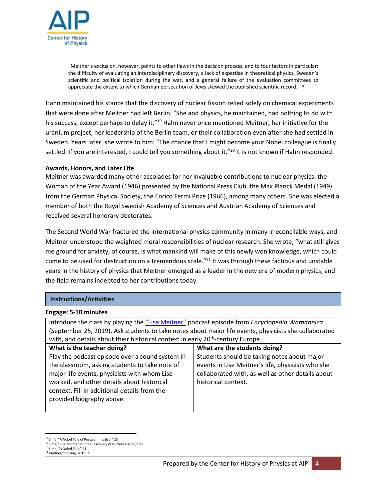

"Meitner's exclusion, however, points to other flaws in the decision process, and to four factors in particular: the difficulty of evaluating an interdisciplinary discovery, a lack of expertise in theoretical physics, Sweden's scientific and political isolation during the war, and a general failure of the evaluation committees to appreciate the extent to which German persecution of Jews skewed the published scientific record."18

Hahn maintained his stance that the discovery of nuclear fission relied solely on chemical experiments that were done after Meitner had left Berlin. "She and physics, he maintained, had nothing to do with his success, except perhaps to delay it."<sup>19</sup> Hahn never once mentioned Meitner, her initiative for the uranium project, her leadership of the Berlin team, or their collaboration even after she had settled in Sweden. Years later, she wrote to him: "The chance that I might become your Nobel colleague is finally settled. If you are interested, I could tell you something about it."<sup>20</sup> It is not known if Hahn responded.

## **Awards, Honors, and Later Life**

Meitner was awarded many other accolades for her invaluable contributions to nuclear physics: the Woman of the Year Award (1946) presented by the National Press Club, the Max Planck Medal (1949) from the German Physical Society, the Enrico Fermi Prize (1966), among many others. She was elected a member of both the Royal Swedish Academy of Sciences and Austrian Academy of Sciences and received several honorary doctorates.

The Second World War fractured the international physics community in many irreconcilable ways, and Meitner understood the weighted moral responsibilities of nuclear research. She wrote, "what still gives me ground for anxiety, of course, is what mankind will make of this newly won knowledge, which could come to be used for destruction on a tremendous scale."<sup>21</sup> It was through these factious and unstable years in the history of physics that Meitner emerged as a leader in the new era of modern physics, and the field remains indebted to her contributions today.

## **Instructions/Activities**

## **Engage: 5-10 minutes**

Introduce the class by playing the ["Lise Meitner"](https://www.stitcher.com/podcast/wonder-media-network-llc/encyclopedia-womannica/e/64153209) podcast episode from *Encyclopedia Womannica* (September 25, 2019). Ask students to take notes about major life events, physicists she collaborated with, and details about their historical context in early 20<sup>th</sup>-century Europe.

| What is the teacher doing?                      | What are the students doing?                      |
|-------------------------------------------------|---------------------------------------------------|
| Play the podcast episode over a sound system in | Students should be taking notes about major       |
| the classroom, asking students to take note of  | events in Lise Meitner's life, physicists who she |
| major life events, physicists with whom Lise    | collaborated with, as well as other details about |
| worked, and other details about historical      | historical context.                               |
| context. Fill in additional details from the    |                                                   |
| provided biography above.                       |                                                   |
|                                                 |                                                   |

 $\overline{\phantom{a}}$ 

<sup>18</sup> Sime, "A Nobel Tale of Postwar Injustice," 26.

<sup>&</sup>lt;sup>19</sup> Sime, "Lise Meitner and the Discovery of Nuclear Fission," 80.

<sup>20</sup> Sime, "A Nobel Tale," 31. <sup>21</sup> Meitner,"Looking Back," 7.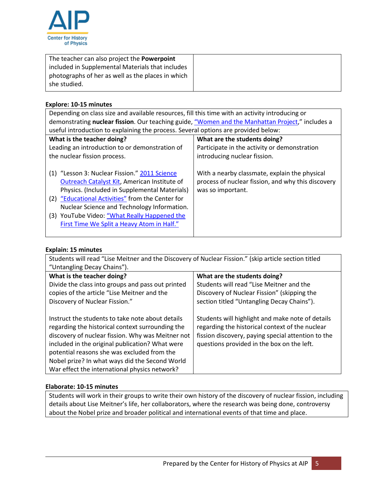

| The teacher can also project the <b>Powerpoint</b> |
|----------------------------------------------------|
| included in Supplemental Materials that includes   |
| photographs of her as well as the places in which  |
| she studied.                                       |
|                                                    |

# **Explore: 10-15 minutes**

| Depending on class size and available resources, fill this time with an activity introducing or  |                                                    |  |
|--------------------------------------------------------------------------------------------------|----------------------------------------------------|--|
| demonstrating nuclear fission. Our teaching guide, "Women and the Manhattan Project," includes a |                                                    |  |
| useful introduction to explaining the process. Several options are provided below:               |                                                    |  |
| What is the teacher doing?                                                                       | What are the students doing?                       |  |
| Leading an introduction to or demonstration of                                                   | Participate in the activity or demonstration       |  |
| the nuclear fission process.                                                                     | introducing nuclear fission.                       |  |
|                                                                                                  |                                                    |  |
| (1) "Lesson 3: Nuclear Fission." 2011 Science                                                    | With a nearby classmate, explain the physical      |  |
| Outreach Catalyst Kit, American Institute of                                                     | process of nuclear fission, and why this discovery |  |
| Physics. (Included in Supplemental Materials)                                                    | was so important.                                  |  |
| (2) "Educational Activities" from the Center for                                                 |                                                    |  |
| Nuclear Science and Technology Information.                                                      |                                                    |  |
| (3) YouTube Video: "What Really Happened the                                                     |                                                    |  |
| First Time We Split a Heavy Atom in Half."                                                       |                                                    |  |
|                                                                                                  |                                                    |  |

# **Explain: 15 minutes**

| Students will read "Lise Meitner and the Discovery of Nuclear Fission." (skip article section titled |                                                    |  |
|------------------------------------------------------------------------------------------------------|----------------------------------------------------|--|
| "Untangling Decay Chains").                                                                          |                                                    |  |
| What is the teacher doing?                                                                           | What are the students doing?                       |  |
| Divide the class into groups and pass out printed                                                    | Students will read "Lise Meitner and the           |  |
| copies of the article "Lise Meitner and the                                                          | Discovery of Nuclear Fission" (skipping the        |  |
| Discovery of Nuclear Fission."                                                                       | section titled "Untangling Decay Chains").         |  |
|                                                                                                      |                                                    |  |
| Instruct the students to take note about details                                                     | Students will highlight and make note of details   |  |
| regarding the historical context surrounding the                                                     | regarding the historical context of the nuclear    |  |
| discovery of nuclear fission. Why was Meitner not                                                    | fission discovery, paying special attention to the |  |
| included in the original publication? What were                                                      | questions provided in the box on the left.         |  |
| potential reasons she was excluded from the                                                          |                                                    |  |
| Nobel prize? In what ways did the Second World                                                       |                                                    |  |
| War effect the international physics network?                                                        |                                                    |  |

# **Elaborate: 10-15 minutes**

Students will work in their groups to write their own history of the discovery of nuclear fission, including details about Lise Meitner's life, her collaborators, where the research was being done, controversy about the Nobel prize and broader political and international events of that time and place.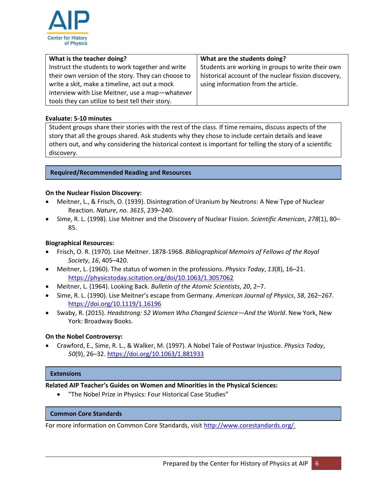

| What is the teacher doing?                         | What are the students doing?                         |
|----------------------------------------------------|------------------------------------------------------|
| Instruct the students to work together and write   | Students are working in groups to write their own    |
| their own version of the story. They can choose to | historical account of the nuclear fission discovery, |
| write a skit, make a timeline, act out a mock      | using information from the article.                  |
| interview with Lise Meitner, use a map-whatever    |                                                      |
| tools they can utilize to best tell their story.   |                                                      |

# **Evaluate: 5-10 minutes**

Student groups share their stories with the rest of the class. If time remains, discuss aspects of the story that all the groups shared. Ask students why they chose to include certain details and leave others out, and why considering the historical context is important for telling the story of a scientific discovery.

# **Required/Recommended Reading and Resources**

## **On the Nuclear Fission Discovery:**

- Meitner, L., & Frisch, O. (1939). Disintegration of Uranium by Neutrons: A New Type of Nuclear Reaction. *Nature*, *no. 3615*, 239–240.
- Sime, R. L. (1998). Lise Meitner and the Discovery of Nuclear Fission. *Scientific American*, *278*(1), 80– 85.

## **Biographical Resources:**

- Frisch, O. R. (1970). Lise Meitner. 1878-1968. *Bibliographical Memoirs of Fellows of the Royal Society*, *16*, 405–420.
- Meitner, L. (1960). The status of women in the professions. *Physics Today*, *13*(8), 16–21. <https://physicstoday.scitation.org/doi/10.1063/1.3057062>
- Meitner, L. (1964). Looking Back. *Bulletin of the Atomic Scientists*, *20*, 2–7.
- Sime, R. L. (1990). Lise Meitner's escape from Germany. *American Journal of Physics*, *58*, 262–267. <https://doi.org/10.1119/1.16196>
- Swaby, R. (2015). *Headstrong: 52 Women Who Changed Science—And the World*. New York, New York: Broadway Books.

## **On the Nobel Controversy:**

• Crawford, E., Sime, R. L., & Walker, M. (1997). A Nobel Tale of Postwar Injustice. *Physics Today*, *50*(9), 26–32[. https://doi.org/10.1063/1.881933](https://doi.org/10.1063/1.881933)

## **Extensions**

# **Related AIP Teacher's Guides on Women and Minorities in the Physical Sciences:**

• "The Nobel Prize in Physics: Four Historical Case Studies"

## **Common Core Standards**

For more information on Common Core Standards, visit [http://www.corestandards.org/.](http://www.corestandards.org/)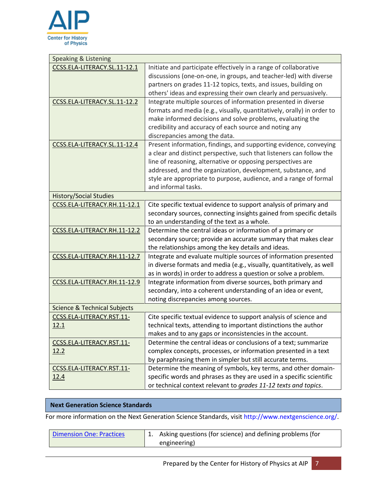

| <b>Speaking &amp; Listening</b>          |                                                                                                                                                                                                                                                                                                                                                                      |
|------------------------------------------|----------------------------------------------------------------------------------------------------------------------------------------------------------------------------------------------------------------------------------------------------------------------------------------------------------------------------------------------------------------------|
| CCSS.ELA-LITERACY.SL.11-12.1             | Initiate and participate effectively in a range of collaborative<br>discussions (one-on-one, in groups, and teacher-led) with diverse<br>partners on grades 11-12 topics, texts, and issues, building on<br>others' ideas and expressing their own clearly and persuasively.                                                                                         |
| CCSS.ELA-LITERACY.SL.11-12.2             | Integrate multiple sources of information presented in diverse<br>formats and media (e.g., visually, quantitatively, orally) in order to<br>make informed decisions and solve problems, evaluating the<br>credibility and accuracy of each source and noting any<br>discrepancies among the data.                                                                    |
| CCSS.ELA-LITERACY.SL.11-12.4             | Present information, findings, and supporting evidence, conveying<br>a clear and distinct perspective, such that listeners can follow the<br>line of reasoning, alternative or opposing perspectives are<br>addressed, and the organization, development, substance, and<br>style are appropriate to purpose, audience, and a range of formal<br>and informal tasks. |
| <b>History/Social Studies</b>            |                                                                                                                                                                                                                                                                                                                                                                      |
| CCSS.ELA-LITERACY.RH.11-12.1             | Cite specific textual evidence to support analysis of primary and<br>secondary sources, connecting insights gained from specific details<br>to an understanding of the text as a whole.                                                                                                                                                                              |
| CCSS.ELA-LITERACY.RH.11-12.2             | Determine the central ideas or information of a primary or<br>secondary source; provide an accurate summary that makes clear<br>the relationships among the key details and ideas.                                                                                                                                                                                   |
| CCSS.ELA-LITERACY.RH.11-12.7             | Integrate and evaluate multiple sources of information presented<br>in diverse formats and media (e.g., visually, quantitatively, as well<br>as in words) in order to address a question or solve a problem.                                                                                                                                                         |
| CCSS.ELA-LITERACY.RH.11-12.9             | Integrate information from diverse sources, both primary and<br>secondary, into a coherent understanding of an idea or event,<br>noting discrepancies among sources.                                                                                                                                                                                                 |
| <b>Science &amp; Technical Subjects</b>  |                                                                                                                                                                                                                                                                                                                                                                      |
| CCSS.ELA-LITERACY.RST.11-<br>12.1        | Cite specific textual evidence to support analysis of science and<br>technical texts, attending to important distinctions the author<br>makes and to any gaps or inconsistencies in the account.                                                                                                                                                                     |
| CCSS.ELA-LITERACY.RST.11-<br>12.2        | Determine the central ideas or conclusions of a text; summarize<br>complex concepts, processes, or information presented in a text<br>by paraphrasing them in simpler but still accurate terms.                                                                                                                                                                      |
| CCSS.ELA-LITERACY.RST.11-<br><u>12.4</u> | Determine the meaning of symbols, key terms, and other domain-<br>specific words and phrases as they are used in a specific scientific<br>or technical context relevant to grades 11-12 texts and topics.                                                                                                                                                            |

# **Next Generation Science Standards**

For more information on the Next Generation Science Standards, visit http://www.nextgenscience.org/.

| <b>Dimension One: Practices</b> | 1. Asking questions (for science) and defining problems (for |
|---------------------------------|--------------------------------------------------------------|
|                                 | engineering)                                                 |